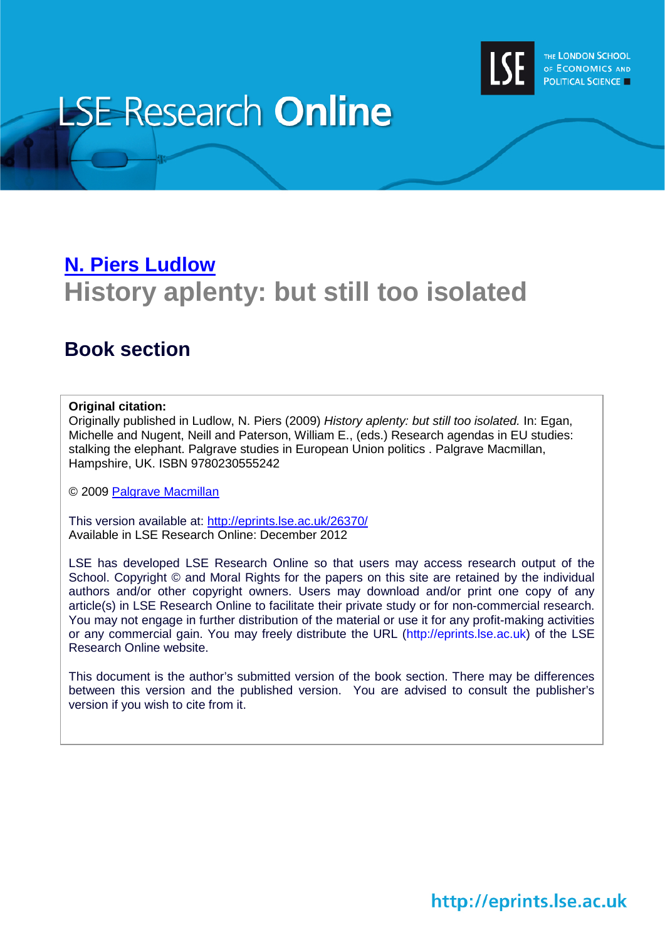

# **LSE Research Online**

# **N. Piers [Ludlow](http://www2.lse.ac.uk/researchAndExpertise/Experts/profile.aspx?KeyValue=n.p.ludlow@lse.ac.uk) History aplenty: but still too isolated**

## **Book section**

## **Original citation:**

Originally published in Ludlow, N. Piers (2009) *History aplenty: but still too isolated.* In: Egan, Michelle and Nugent, Neill and Paterson, William E., (eds.) Research agendas in EU studies: stalking the elephant. Palgrave studies in European Union politics . Palgrave Macmillan, Hampshire, UK. ISBN 9780230555242

© 2009 [Palgrave Macmillan](http://www.palgrave.com/home/index.asp)

This version available at:<http://eprints.lse.ac.uk/26370/> Available in LSE Research Online: December 2012

LSE has developed LSE Research Online so that users may access research output of the School. Copyright © and Moral Rights for the papers on this site are retained by the individual authors and/or other copyright owners. Users may download and/or print one copy of any article(s) in LSE Research Online to facilitate their private study or for non-commercial research. You may not engage in further distribution of the material or use it for any profit-making activities or any commercial gain. You may freely distribute the URL (http://eprints.lse.ac.uk) of the LSE Research Online website.

This document is the author's submitted version of the book section. There may be differences between this version and the published version. You are advised to consult the publisher's version if you wish to cite from it.

# http://eprints.lse.ac.uk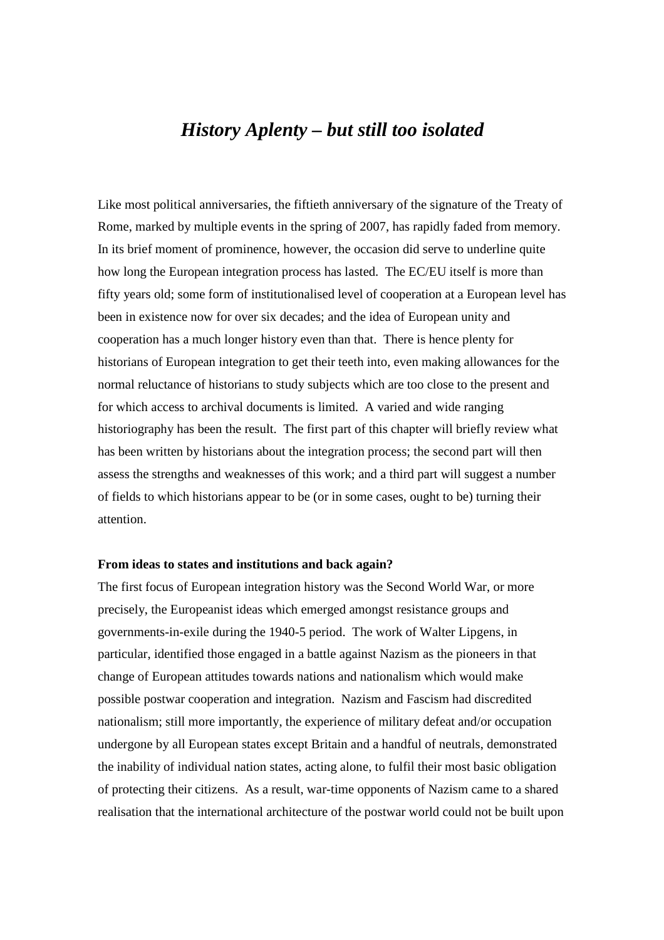## *History Aplenty – but still too isolated*

Like most political anniversaries, the fiftieth anniversary of the signature of the Treaty of Rome, marked by multiple events in the spring of 2007, has rapidly faded from memory. In its brief moment of prominence, however, the occasion did serve to underline quite how long the European integration process has lasted. The EC/EU itself is more than fifty years old; some form of institutionalised level of cooperation at a European level has been in existence now for over six decades; and the idea of European unity and cooperation has a much longer history even than that. There is hence plenty for historians of European integration to get their teeth into, even making allowances for the normal reluctance of historians to study subjects which are too close to the present and for which access to archival documents is limited. A varied and wide ranging historiography has been the result. The first part of this chapter will briefly review what has been written by historians about the integration process; the second part will then assess the strengths and weaknesses of this work; and a third part will suggest a number of fields to which historians appear to be (or in some cases, ought to be) turning their attention.

### **From ideas to states and institutions and back again?**

The first focus of European integration history was the Second World War, or more precisely, the Europeanist ideas which emerged amongst resistance groups and governments-in-exile during the 1940-5 period. The work of Walter Lipgens, in particular, identified those engaged in a battle against Nazism as the pioneers in that change of European attitudes towards nations and nationalism which would make possible postwar cooperation and integration. Nazism and Fascism had discredited nationalism; still more importantly, the experience of military defeat and/or occupation undergone by all European states except Britain and a handful of neutrals, demonstrated the inability of individual nation states, acting alone, to fulfil their most basic obligation of protecting their citizens. As a result, war-time opponents of Nazism came to a shared realisation that the international architecture of the postwar world could not be built upon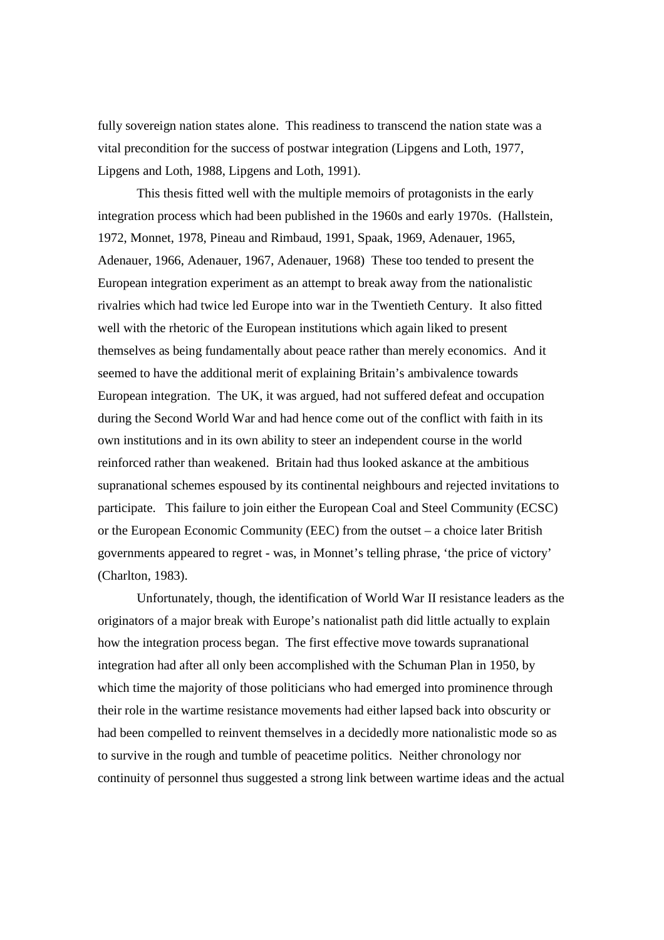fully sovereign nation states alone. This readiness to transcend the nation state was a vital precondition for the success of postwar integration (Lipgens and Loth, 1977, Lipgens and Loth, 1988, Lipgens and Loth, 1991).

 This thesis fitted well with the multiple memoirs of protagonists in the early integration process which had been published in the 1960s and early 1970s. (Hallstein, 1972, Monnet, 1978, Pineau and Rimbaud, 1991, Spaak, 1969, Adenauer, 1965, Adenauer, 1966, Adenauer, 1967, Adenauer, 1968) These too tended to present the European integration experiment as an attempt to break away from the nationalistic rivalries which had twice led Europe into war in the Twentieth Century. It also fitted well with the rhetoric of the European institutions which again liked to present themselves as being fundamentally about peace rather than merely economics. And it seemed to have the additional merit of explaining Britain's ambivalence towards European integration. The UK, it was argued, had not suffered defeat and occupation during the Second World War and had hence come out of the conflict with faith in its own institutions and in its own ability to steer an independent course in the world reinforced rather than weakened. Britain had thus looked askance at the ambitious supranational schemes espoused by its continental neighbours and rejected invitations to participate. This failure to join either the European Coal and Steel Community (ECSC) or the European Economic Community (EEC) from the outset – a choice later British governments appeared to regret - was, in Monnet's telling phrase, 'the price of victory' (Charlton, 1983).

 Unfortunately, though, the identification of World War II resistance leaders as the originators of a major break with Europe's nationalist path did little actually to explain how the integration process began. The first effective move towards supranational integration had after all only been accomplished with the Schuman Plan in 1950, by which time the majority of those politicians who had emerged into prominence through their role in the wartime resistance movements had either lapsed back into obscurity or had been compelled to reinvent themselves in a decidedly more nationalistic mode so as to survive in the rough and tumble of peacetime politics. Neither chronology nor continuity of personnel thus suggested a strong link between wartime ideas and the actual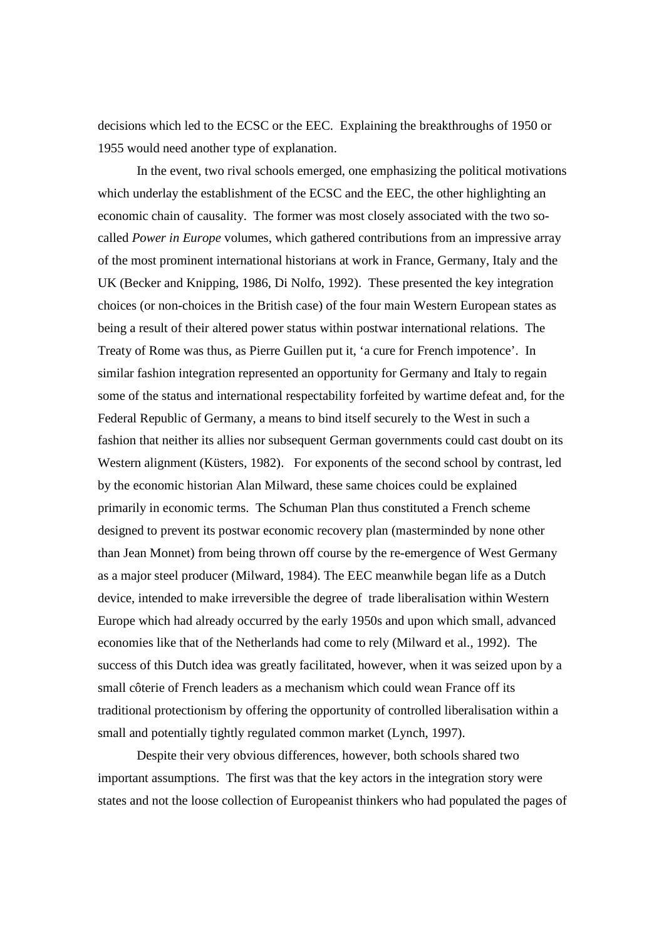decisions which led to the ECSC or the EEC. Explaining the breakthroughs of 1950 or 1955 would need another type of explanation.

 In the event, two rival schools emerged, one emphasizing the political motivations which underlay the establishment of the ECSC and the EEC, the other highlighting an economic chain of causality. The former was most closely associated with the two socalled *Power in Europe* volumes, which gathered contributions from an impressive array of the most prominent international historians at work in France, Germany, Italy and the UK (Becker and Knipping, 1986, Di Nolfo, 1992). These presented the key integration choices (or non-choices in the British case) of the four main Western European states as being a result of their altered power status within postwar international relations. The Treaty of Rome was thus, as Pierre Guillen put it, 'a cure for French impotence'. In similar fashion integration represented an opportunity for Germany and Italy to regain some of the status and international respectability forfeited by wartime defeat and, for the Federal Republic of Germany, a means to bind itself securely to the West in such a fashion that neither its allies nor subsequent German governments could cast doubt on its Western alignment (Küsters, 1982). For exponents of the second school by contrast, led by the economic historian Alan Milward, these same choices could be explained primarily in economic terms. The Schuman Plan thus constituted a French scheme designed to prevent its postwar economic recovery plan (masterminded by none other than Jean Monnet) from being thrown off course by the re-emergence of West Germany as a major steel producer (Milward, 1984). The EEC meanwhile began life as a Dutch device, intended to make irreversible the degree of trade liberalisation within Western Europe which had already occurred by the early 1950s and upon which small, advanced economies like that of the Netherlands had come to rely (Milward et al., 1992). The success of this Dutch idea was greatly facilitated, however, when it was seized upon by a small côterie of French leaders as a mechanism which could wean France off its traditional protectionism by offering the opportunity of controlled liberalisation within a small and potentially tightly regulated common market (Lynch, 1997).

 Despite their very obvious differences, however, both schools shared two important assumptions. The first was that the key actors in the integration story were states and not the loose collection of Europeanist thinkers who had populated the pages of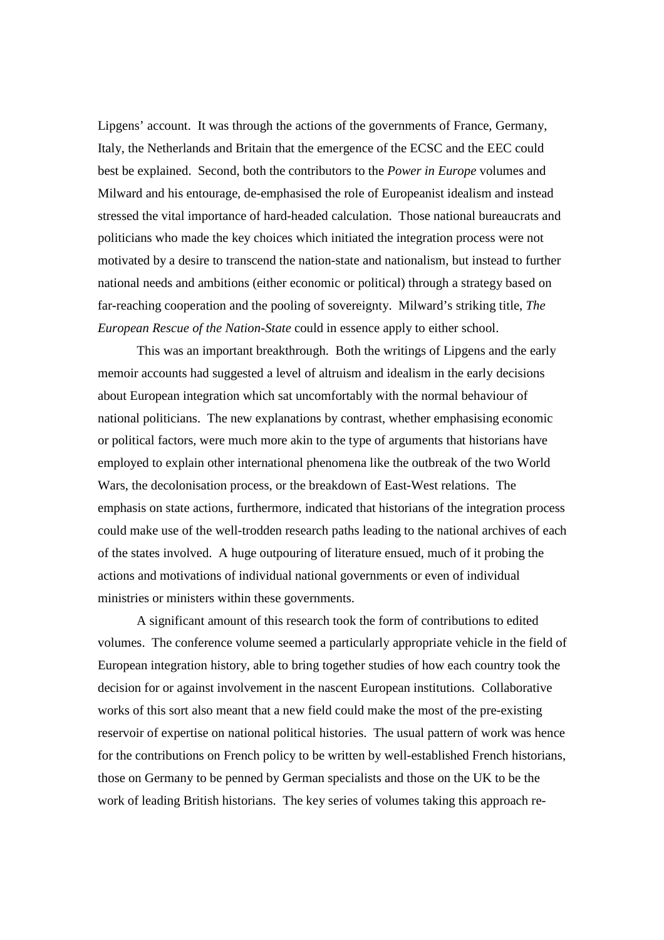Lipgens' account. It was through the actions of the governments of France, Germany, Italy, the Netherlands and Britain that the emergence of the ECSC and the EEC could best be explained. Second, both the contributors to the *Power in Europe* volumes and Milward and his entourage, de-emphasised the role of Europeanist idealism and instead stressed the vital importance of hard-headed calculation. Those national bureaucrats and politicians who made the key choices which initiated the integration process were not motivated by a desire to transcend the nation-state and nationalism, but instead to further national needs and ambitions (either economic or political) through a strategy based on far-reaching cooperation and the pooling of sovereignty. Milward's striking title, *The European Rescue of the Nation-State* could in essence apply to either school.

 This was an important breakthrough. Both the writings of Lipgens and the early memoir accounts had suggested a level of altruism and idealism in the early decisions about European integration which sat uncomfortably with the normal behaviour of national politicians. The new explanations by contrast, whether emphasising economic or political factors, were much more akin to the type of arguments that historians have employed to explain other international phenomena like the outbreak of the two World Wars, the decolonisation process, or the breakdown of East-West relations. The emphasis on state actions, furthermore, indicated that historians of the integration process could make use of the well-trodden research paths leading to the national archives of each of the states involved. A huge outpouring of literature ensued, much of it probing the actions and motivations of individual national governments or even of individual ministries or ministers within these governments.

 A significant amount of this research took the form of contributions to edited volumes. The conference volume seemed a particularly appropriate vehicle in the field of European integration history, able to bring together studies of how each country took the decision for or against involvement in the nascent European institutions. Collaborative works of this sort also meant that a new field could make the most of the pre-existing reservoir of expertise on national political histories. The usual pattern of work was hence for the contributions on French policy to be written by well-established French historians, those on Germany to be penned by German specialists and those on the UK to be the work of leading British historians. The key series of volumes taking this approach re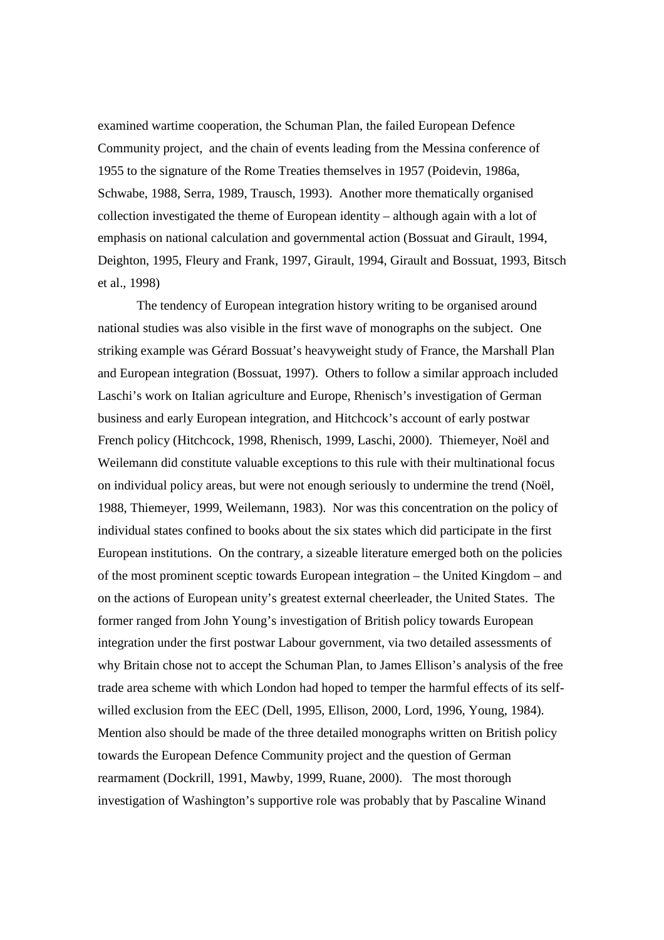examined wartime cooperation, the Schuman Plan, the failed European Defence Community project, and the chain of events leading from the Messina conference of 1955 to the signature of the Rome Treaties themselves in 1957 (Poidevin, 1986a, Schwabe, 1988, Serra, 1989, Trausch, 1993). Another more thematically organised collection investigated the theme of European identity – although again with a lot of emphasis on national calculation and governmental action (Bossuat and Girault, 1994, Deighton, 1995, Fleury and Frank, 1997, Girault, 1994, Girault and Bossuat, 1993, Bitsch et al., 1998)

 The tendency of European integration history writing to be organised around national studies was also visible in the first wave of monographs on the subject. One striking example was Gérard Bossuat's heavyweight study of France, the Marshall Plan and European integration (Bossuat, 1997). Others to follow a similar approach included Laschi's work on Italian agriculture and Europe, Rhenisch's investigation of German business and early European integration, and Hitchcock's account of early postwar French policy (Hitchcock, 1998, Rhenisch, 1999, Laschi, 2000). Thiemeyer, Noël and Weilemann did constitute valuable exceptions to this rule with their multinational focus on individual policy areas, but were not enough seriously to undermine the trend (Noël, 1988, Thiemeyer, 1999, Weilemann, 1983). Nor was this concentration on the policy of individual states confined to books about the six states which did participate in the first European institutions. On the contrary, a sizeable literature emerged both on the policies of the most prominent sceptic towards European integration – the United Kingdom – and on the actions of European unity's greatest external cheerleader, the United States. The former ranged from John Young's investigation of British policy towards European integration under the first postwar Labour government, via two detailed assessments of why Britain chose not to accept the Schuman Plan, to James Ellison's analysis of the free trade area scheme with which London had hoped to temper the harmful effects of its selfwilled exclusion from the EEC (Dell, 1995, Ellison, 2000, Lord, 1996, Young, 1984). Mention also should be made of the three detailed monographs written on British policy towards the European Defence Community project and the question of German rearmament (Dockrill, 1991, Mawby, 1999, Ruane, 2000). The most thorough investigation of Washington's supportive role was probably that by Pascaline Winand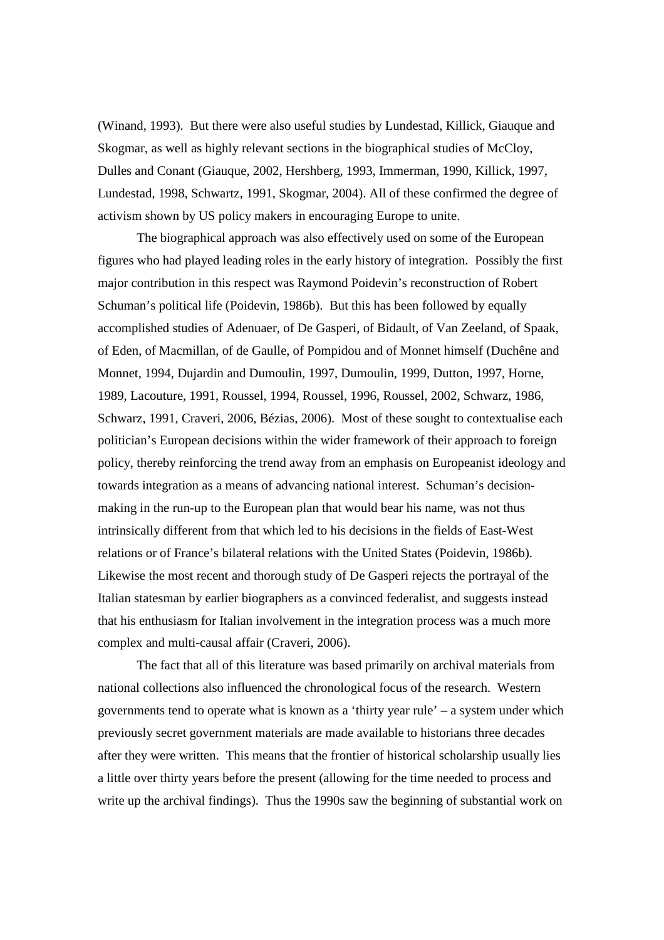(Winand, 1993). But there were also useful studies by Lundestad, Killick, Giauque and Skogmar, as well as highly relevant sections in the biographical studies of McCloy, Dulles and Conant (Giauque, 2002, Hershberg, 1993, Immerman, 1990, Killick, 1997, Lundestad, 1998, Schwartz, 1991, Skogmar, 2004). All of these confirmed the degree of activism shown by US policy makers in encouraging Europe to unite.

 The biographical approach was also effectively used on some of the European figures who had played leading roles in the early history of integration. Possibly the first major contribution in this respect was Raymond Poidevin's reconstruction of Robert Schuman's political life (Poidevin, 1986b). But this has been followed by equally accomplished studies of Adenuaer, of De Gasperi, of Bidault, of Van Zeeland, of Spaak, of Eden, of Macmillan, of de Gaulle, of Pompidou and of Monnet himself (Duchêne and Monnet, 1994, Dujardin and Dumoulin, 1997, Dumoulin, 1999, Dutton, 1997, Horne, 1989, Lacouture, 1991, Roussel, 1994, Roussel, 1996, Roussel, 2002, Schwarz, 1986, Schwarz, 1991, Craveri, 2006, Bézias, 2006). Most of these sought to contextualise each politician's European decisions within the wider framework of their approach to foreign policy, thereby reinforcing the trend away from an emphasis on Europeanist ideology and towards integration as a means of advancing national interest. Schuman's decisionmaking in the run-up to the European plan that would bear his name, was not thus intrinsically different from that which led to his decisions in the fields of East-West relations or of France's bilateral relations with the United States (Poidevin, 1986b). Likewise the most recent and thorough study of De Gasperi rejects the portrayal of the Italian statesman by earlier biographers as a convinced federalist, and suggests instead that his enthusiasm for Italian involvement in the integration process was a much more complex and multi-causal affair (Craveri, 2006).

 The fact that all of this literature was based primarily on archival materials from national collections also influenced the chronological focus of the research. Western governments tend to operate what is known as a 'thirty year rule' – a system under which previously secret government materials are made available to historians three decades after they were written. This means that the frontier of historical scholarship usually lies a little over thirty years before the present (allowing for the time needed to process and write up the archival findings). Thus the 1990s saw the beginning of substantial work on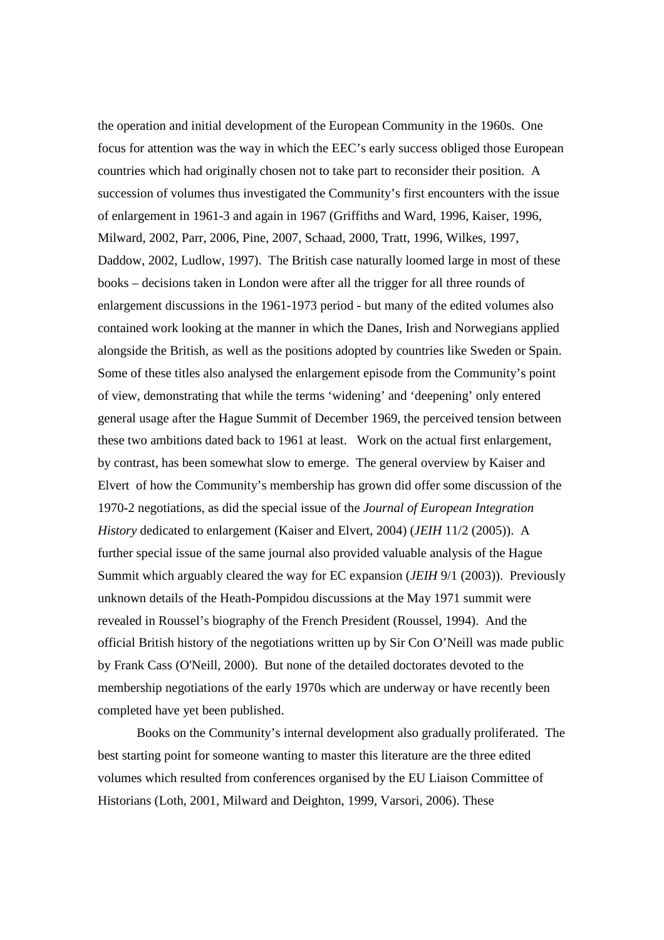the operation and initial development of the European Community in the 1960s. One focus for attention was the way in which the EEC's early success obliged those European countries which had originally chosen not to take part to reconsider their position. A succession of volumes thus investigated the Community's first encounters with the issue of enlargement in 1961-3 and again in 1967 (Griffiths and Ward, 1996, Kaiser, 1996, Milward, 2002, Parr, 2006, Pine, 2007, Schaad, 2000, Tratt, 1996, Wilkes, 1997, Daddow, 2002, Ludlow, 1997). The British case naturally loomed large in most of these books – decisions taken in London were after all the trigger for all three rounds of enlargement discussions in the 1961-1973 period - but many of the edited volumes also contained work looking at the manner in which the Danes, Irish and Norwegians applied alongside the British, as well as the positions adopted by countries like Sweden or Spain. Some of these titles also analysed the enlargement episode from the Community's point of view, demonstrating that while the terms 'widening' and 'deepening' only entered general usage after the Hague Summit of December 1969, the perceived tension between these two ambitions dated back to 1961 at least. Work on the actual first enlargement, by contrast, has been somewhat slow to emerge. The general overview by Kaiser and Elvert of how the Community's membership has grown did offer some discussion of the 1970-2 negotiations, as did the special issue of the *Journal of European Integration History* dedicated to enlargement (Kaiser and Elvert, 2004) (*JEIH* 11/2 (2005)). A further special issue of the same journal also provided valuable analysis of the Hague Summit which arguably cleared the way for EC expansion (*JEIH* 9/1 (2003)). Previously unknown details of the Heath-Pompidou discussions at the May 1971 summit were revealed in Roussel's biography of the French President (Roussel, 1994). And the official British history of the negotiations written up by Sir Con O'Neill was made public by Frank Cass (O'Neill, 2000). But none of the detailed doctorates devoted to the membership negotiations of the early 1970s which are underway or have recently been completed have yet been published.

 Books on the Community's internal development also gradually proliferated. The best starting point for someone wanting to master this literature are the three edited volumes which resulted from conferences organised by the EU Liaison Committee of Historians (Loth, 2001, Milward and Deighton, 1999, Varsori, 2006). These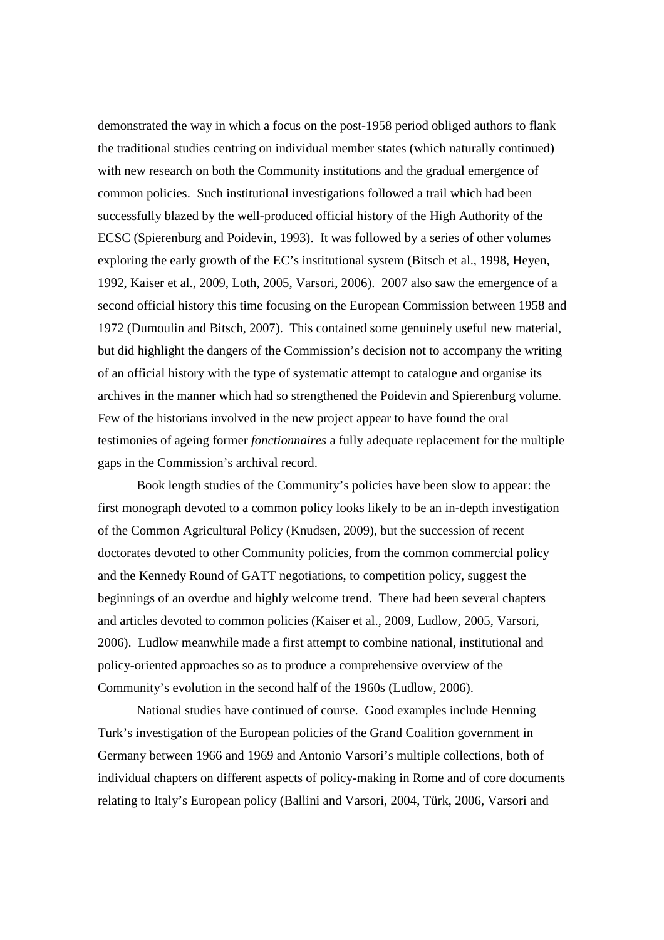demonstrated the way in which a focus on the post-1958 period obliged authors to flank the traditional studies centring on individual member states (which naturally continued) with new research on both the Community institutions and the gradual emergence of common policies. Such institutional investigations followed a trail which had been successfully blazed by the well-produced official history of the High Authority of the ECSC (Spierenburg and Poidevin, 1993). It was followed by a series of other volumes exploring the early growth of the EC's institutional system (Bitsch et al., 1998, Heyen, 1992, Kaiser et al., 2009, Loth, 2005, Varsori, 2006). 2007 also saw the emergence of a second official history this time focusing on the European Commission between 1958 and 1972 (Dumoulin and Bitsch, 2007). This contained some genuinely useful new material, but did highlight the dangers of the Commission's decision not to accompany the writing of an official history with the type of systematic attempt to catalogue and organise its archives in the manner which had so strengthened the Poidevin and Spierenburg volume. Few of the historians involved in the new project appear to have found the oral testimonies of ageing former *fonctionnaires* a fully adequate replacement for the multiple gaps in the Commission's archival record.

 Book length studies of the Community's policies have been slow to appear: the first monograph devoted to a common policy looks likely to be an in-depth investigation of the Common Agricultural Policy (Knudsen, 2009), but the succession of recent doctorates devoted to other Community policies, from the common commercial policy and the Kennedy Round of GATT negotiations, to competition policy, suggest the beginnings of an overdue and highly welcome trend. There had been several chapters and articles devoted to common policies (Kaiser et al., 2009, Ludlow, 2005, Varsori, 2006). Ludlow meanwhile made a first attempt to combine national, institutional and policy-oriented approaches so as to produce a comprehensive overview of the Community's evolution in the second half of the 1960s (Ludlow, 2006).

 National studies have continued of course. Good examples include Henning Turk's investigation of the European policies of the Grand Coalition government in Germany between 1966 and 1969 and Antonio Varsori's multiple collections, both of individual chapters on different aspects of policy-making in Rome and of core documents relating to Italy's European policy (Ballini and Varsori, 2004, Türk, 2006, Varsori and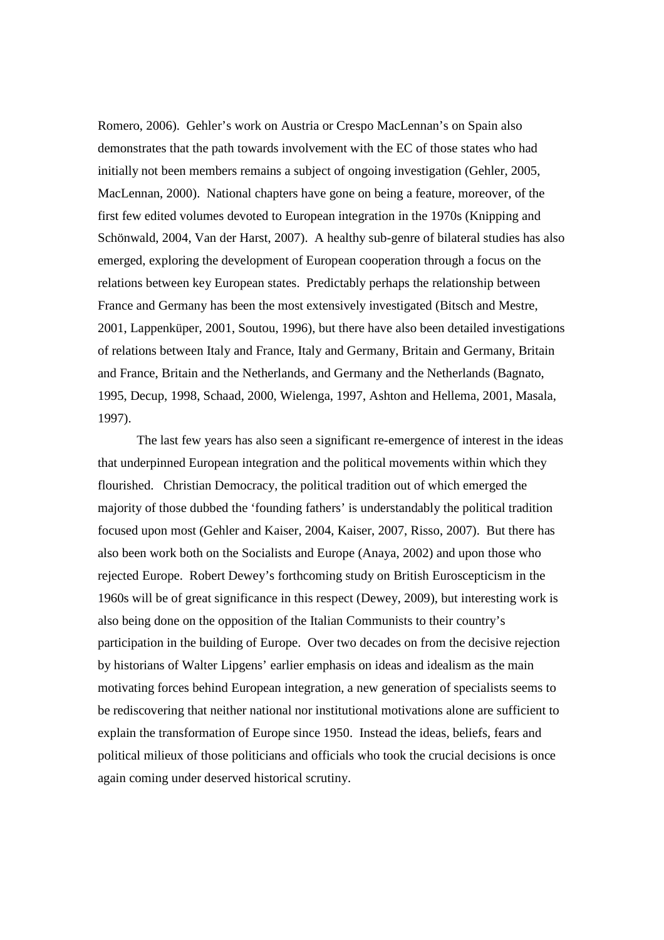Romero, 2006). Gehler's work on Austria or Crespo MacLennan's on Spain also demonstrates that the path towards involvement with the EC of those states who had initially not been members remains a subject of ongoing investigation (Gehler, 2005, MacLennan, 2000). National chapters have gone on being a feature, moreover, of the first few edited volumes devoted to European integration in the 1970s (Knipping and Schönwald, 2004, Van der Harst, 2007). A healthy sub-genre of bilateral studies has also emerged, exploring the development of European cooperation through a focus on the relations between key European states. Predictably perhaps the relationship between France and Germany has been the most extensively investigated (Bitsch and Mestre, 2001, Lappenküper, 2001, Soutou, 1996), but there have also been detailed investigations of relations between Italy and France, Italy and Germany, Britain and Germany, Britain and France, Britain and the Netherlands, and Germany and the Netherlands (Bagnato, 1995, Decup, 1998, Schaad, 2000, Wielenga, 1997, Ashton and Hellema, 2001, Masala, 1997).

 The last few years has also seen a significant re-emergence of interest in the ideas that underpinned European integration and the political movements within which they flourished. Christian Democracy, the political tradition out of which emerged the majority of those dubbed the 'founding fathers' is understandably the political tradition focused upon most (Gehler and Kaiser, 2004, Kaiser, 2007, Risso, 2007). But there has also been work both on the Socialists and Europe (Anaya, 2002) and upon those who rejected Europe. Robert Dewey's forthcoming study on British Euroscepticism in the 1960s will be of great significance in this respect (Dewey, 2009), but interesting work is also being done on the opposition of the Italian Communists to their country's participation in the building of Europe. Over two decades on from the decisive rejection by historians of Walter Lipgens' earlier emphasis on ideas and idealism as the main motivating forces behind European integration, a new generation of specialists seems to be rediscovering that neither national nor institutional motivations alone are sufficient to explain the transformation of Europe since 1950. Instead the ideas, beliefs, fears and political milieux of those politicians and officials who took the crucial decisions is once again coming under deserved historical scrutiny.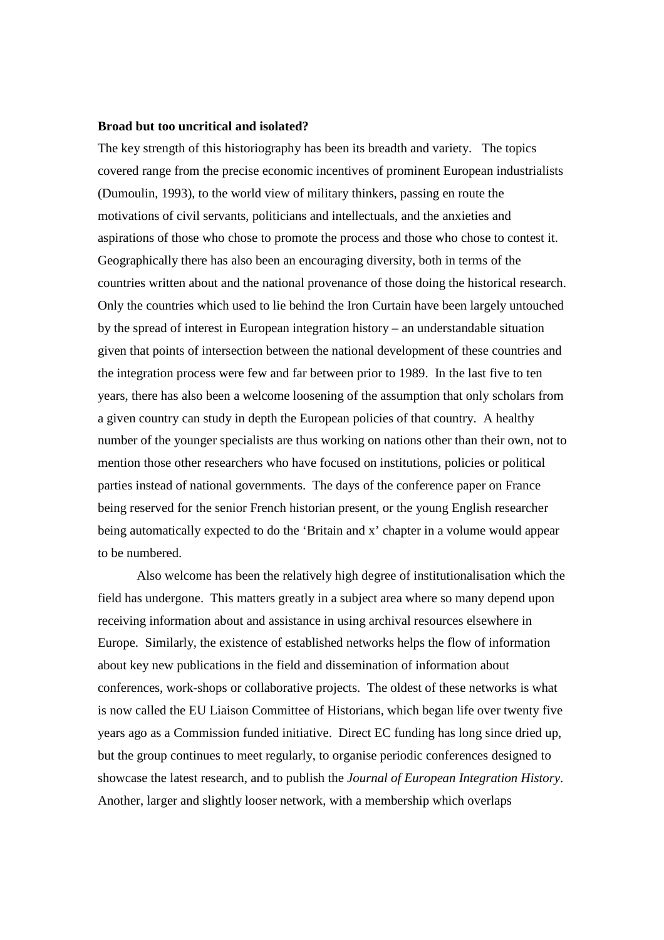### **Broad but too uncritical and isolated?**

The key strength of this historiography has been its breadth and variety. The topics covered range from the precise economic incentives of prominent European industrialists (Dumoulin, 1993), to the world view of military thinkers, passing en route the motivations of civil servants, politicians and intellectuals, and the anxieties and aspirations of those who chose to promote the process and those who chose to contest it. Geographically there has also been an encouraging diversity, both in terms of the countries written about and the national provenance of those doing the historical research. Only the countries which used to lie behind the Iron Curtain have been largely untouched by the spread of interest in European integration history – an understandable situation given that points of intersection between the national development of these countries and the integration process were few and far between prior to 1989. In the last five to ten years, there has also been a welcome loosening of the assumption that only scholars from a given country can study in depth the European policies of that country. A healthy number of the younger specialists are thus working on nations other than their own, not to mention those other researchers who have focused on institutions, policies or political parties instead of national governments. The days of the conference paper on France being reserved for the senior French historian present, or the young English researcher being automatically expected to do the 'Britain and x' chapter in a volume would appear to be numbered.

 Also welcome has been the relatively high degree of institutionalisation which the field has undergone. This matters greatly in a subject area where so many depend upon receiving information about and assistance in using archival resources elsewhere in Europe. Similarly, the existence of established networks helps the flow of information about key new publications in the field and dissemination of information about conferences, work-shops or collaborative projects. The oldest of these networks is what is now called the EU Liaison Committee of Historians, which began life over twenty five years ago as a Commission funded initiative. Direct EC funding has long since dried up, but the group continues to meet regularly, to organise periodic conferences designed to showcase the latest research, and to publish the *Journal of European Integration History*. Another, larger and slightly looser network, with a membership which overlaps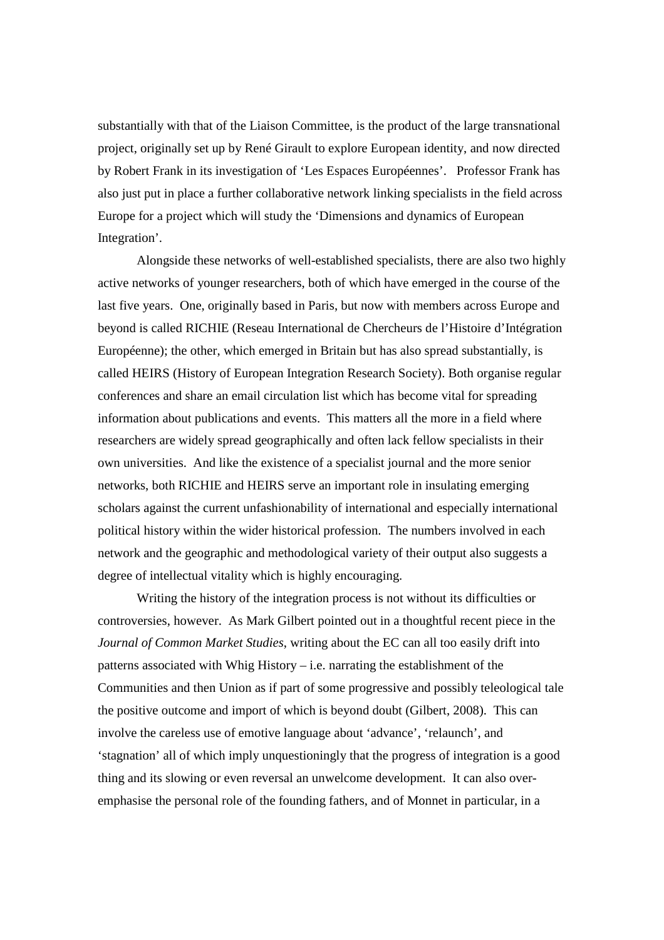substantially with that of the Liaison Committee, is the product of the large transnational project, originally set up by René Girault to explore European identity, and now directed by Robert Frank in its investigation of 'Les Espaces Européennes'. Professor Frank has also just put in place a further collaborative network linking specialists in the field across Europe for a project which will study the 'Dimensions and dynamics of European Integration'.

 Alongside these networks of well-established specialists, there are also two highly active networks of younger researchers, both of which have emerged in the course of the last five years. One, originally based in Paris, but now with members across Europe and beyond is called RICHIE (Reseau International de Chercheurs de l'Histoire d'Intégration Européenne); the other, which emerged in Britain but has also spread substantially, is called HEIRS (History of European Integration Research Society). Both organise regular conferences and share an email circulation list which has become vital for spreading information about publications and events. This matters all the more in a field where researchers are widely spread geographically and often lack fellow specialists in their own universities. And like the existence of a specialist journal and the more senior networks, both RICHIE and HEIRS serve an important role in insulating emerging scholars against the current unfashionability of international and especially international political history within the wider historical profession. The numbers involved in each network and the geographic and methodological variety of their output also suggests a degree of intellectual vitality which is highly encouraging.

 Writing the history of the integration process is not without its difficulties or controversies, however. As Mark Gilbert pointed out in a thoughtful recent piece in the *Journal of Common Market Studies*, writing about the EC can all too easily drift into patterns associated with Whig History – i.e. narrating the establishment of the Communities and then Union as if part of some progressive and possibly teleological tale the positive outcome and import of which is beyond doubt (Gilbert, 2008). This can involve the careless use of emotive language about 'advance', 'relaunch', and 'stagnation' all of which imply unquestioningly that the progress of integration is a good thing and its slowing or even reversal an unwelcome development. It can also overemphasise the personal role of the founding fathers, and of Monnet in particular, in a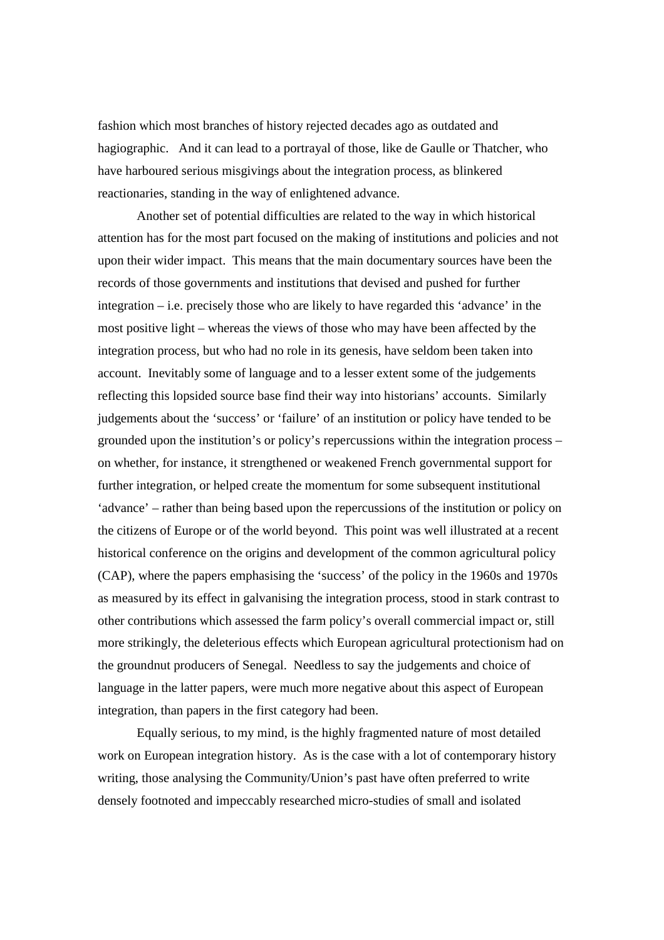fashion which most branches of history rejected decades ago as outdated and hagiographic. And it can lead to a portrayal of those, like de Gaulle or Thatcher, who have harboured serious misgivings about the integration process, as blinkered reactionaries, standing in the way of enlightened advance.

 Another set of potential difficulties are related to the way in which historical attention has for the most part focused on the making of institutions and policies and not upon their wider impact. This means that the main documentary sources have been the records of those governments and institutions that devised and pushed for further integration – i.e. precisely those who are likely to have regarded this 'advance' in the most positive light – whereas the views of those who may have been affected by the integration process, but who had no role in its genesis, have seldom been taken into account. Inevitably some of language and to a lesser extent some of the judgements reflecting this lopsided source base find their way into historians' accounts. Similarly judgements about the 'success' or 'failure' of an institution or policy have tended to be grounded upon the institution's or policy's repercussions within the integration process – on whether, for instance, it strengthened or weakened French governmental support for further integration, or helped create the momentum for some subsequent institutional 'advance' – rather than being based upon the repercussions of the institution or policy on the citizens of Europe or of the world beyond. This point was well illustrated at a recent historical conference on the origins and development of the common agricultural policy (CAP), where the papers emphasising the 'success' of the policy in the 1960s and 1970s as measured by its effect in galvanising the integration process, stood in stark contrast to other contributions which assessed the farm policy's overall commercial impact or, still more strikingly, the deleterious effects which European agricultural protectionism had on the groundnut producers of Senegal. Needless to say the judgements and choice of language in the latter papers, were much more negative about this aspect of European integration, than papers in the first category had been.

 Equally serious, to my mind, is the highly fragmented nature of most detailed work on European integration history. As is the case with a lot of contemporary history writing, those analysing the Community/Union's past have often preferred to write densely footnoted and impeccably researched micro-studies of small and isolated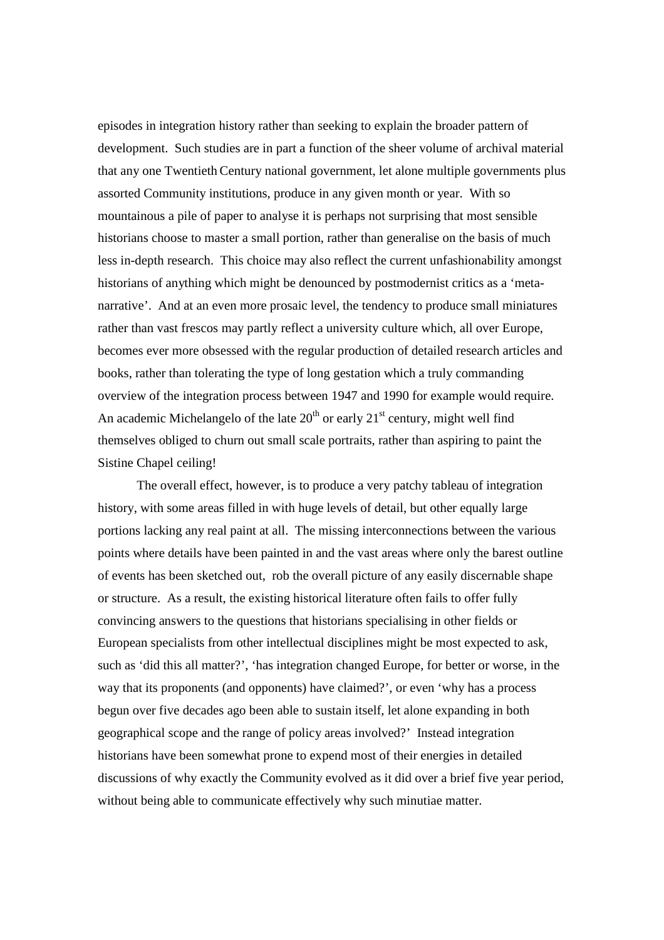episodes in integration history rather than seeking to explain the broader pattern of development. Such studies are in part a function of the sheer volume of archival material that any one Twentieth Century national government, let alone multiple governments plus assorted Community institutions, produce in any given month or year. With so mountainous a pile of paper to analyse it is perhaps not surprising that most sensible historians choose to master a small portion, rather than generalise on the basis of much less in-depth research. This choice may also reflect the current unfashionability amongst historians of anything which might be denounced by postmodernist critics as a 'metanarrative'. And at an even more prosaic level, the tendency to produce small miniatures rather than vast frescos may partly reflect a university culture which, all over Europe, becomes ever more obsessed with the regular production of detailed research articles and books, rather than tolerating the type of long gestation which a truly commanding overview of the integration process between 1947 and 1990 for example would require. An academic Michelangelo of the late  $20<sup>th</sup>$  or early  $21<sup>st</sup>$  century, might well find themselves obliged to churn out small scale portraits, rather than aspiring to paint the Sistine Chapel ceiling!

 The overall effect, however, is to produce a very patchy tableau of integration history, with some areas filled in with huge levels of detail, but other equally large portions lacking any real paint at all. The missing interconnections between the various points where details have been painted in and the vast areas where only the barest outline of events has been sketched out, rob the overall picture of any easily discernable shape or structure. As a result, the existing historical literature often fails to offer fully convincing answers to the questions that historians specialising in other fields or European specialists from other intellectual disciplines might be most expected to ask, such as 'did this all matter?', 'has integration changed Europe, for better or worse, in the way that its proponents (and opponents) have claimed?', or even 'why has a process begun over five decades ago been able to sustain itself, let alone expanding in both geographical scope and the range of policy areas involved?' Instead integration historians have been somewhat prone to expend most of their energies in detailed discussions of why exactly the Community evolved as it did over a brief five year period, without being able to communicate effectively why such minutiae matter.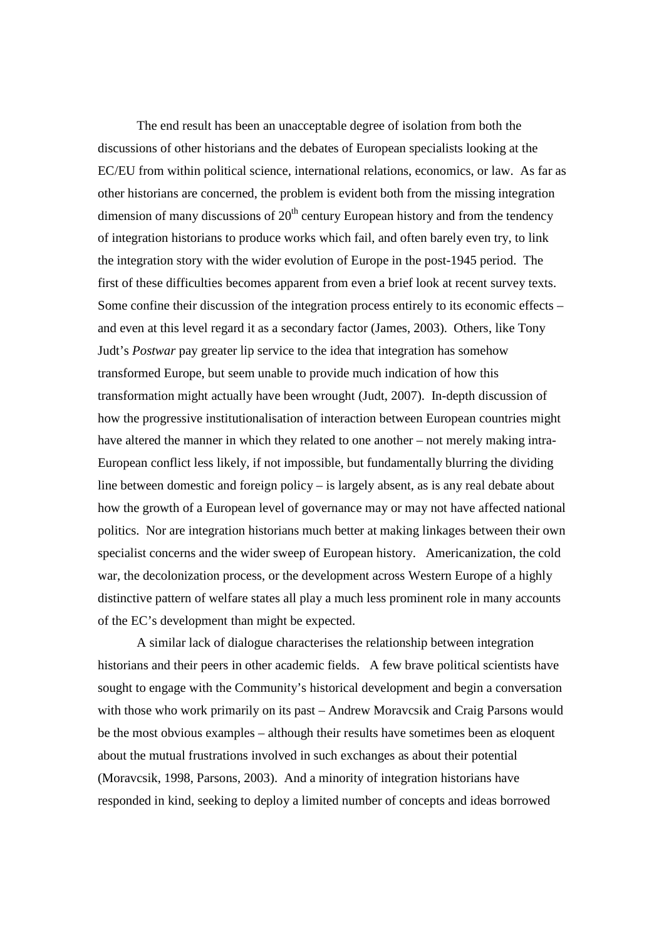The end result has been an unacceptable degree of isolation from both the discussions of other historians and the debates of European specialists looking at the EC/EU from within political science, international relations, economics, or law. As far as other historians are concerned, the problem is evident both from the missing integration dimension of many discussions of  $20<sup>th</sup>$  century European history and from the tendency of integration historians to produce works which fail, and often barely even try, to link the integration story with the wider evolution of Europe in the post-1945 period. The first of these difficulties becomes apparent from even a brief look at recent survey texts. Some confine their discussion of the integration process entirely to its economic effects – and even at this level regard it as a secondary factor (James, 2003). Others, like Tony Judt's *Postwar* pay greater lip service to the idea that integration has somehow transformed Europe, but seem unable to provide much indication of how this transformation might actually have been wrought (Judt, 2007). In-depth discussion of how the progressive institutionalisation of interaction between European countries might have altered the manner in which they related to one another – not merely making intra-European conflict less likely, if not impossible, but fundamentally blurring the dividing line between domestic and foreign policy – is largely absent, as is any real debate about how the growth of a European level of governance may or may not have affected national politics. Nor are integration historians much better at making linkages between their own specialist concerns and the wider sweep of European history. Americanization, the cold war, the decolonization process, or the development across Western Europe of a highly distinctive pattern of welfare states all play a much less prominent role in many accounts of the EC's development than might be expected.

 A similar lack of dialogue characterises the relationship between integration historians and their peers in other academic fields. A few brave political scientists have sought to engage with the Community's historical development and begin a conversation with those who work primarily on its past – Andrew Moravcsik and Craig Parsons would be the most obvious examples – although their results have sometimes been as eloquent about the mutual frustrations involved in such exchanges as about their potential (Moravcsik, 1998, Parsons, 2003). And a minority of integration historians have responded in kind, seeking to deploy a limited number of concepts and ideas borrowed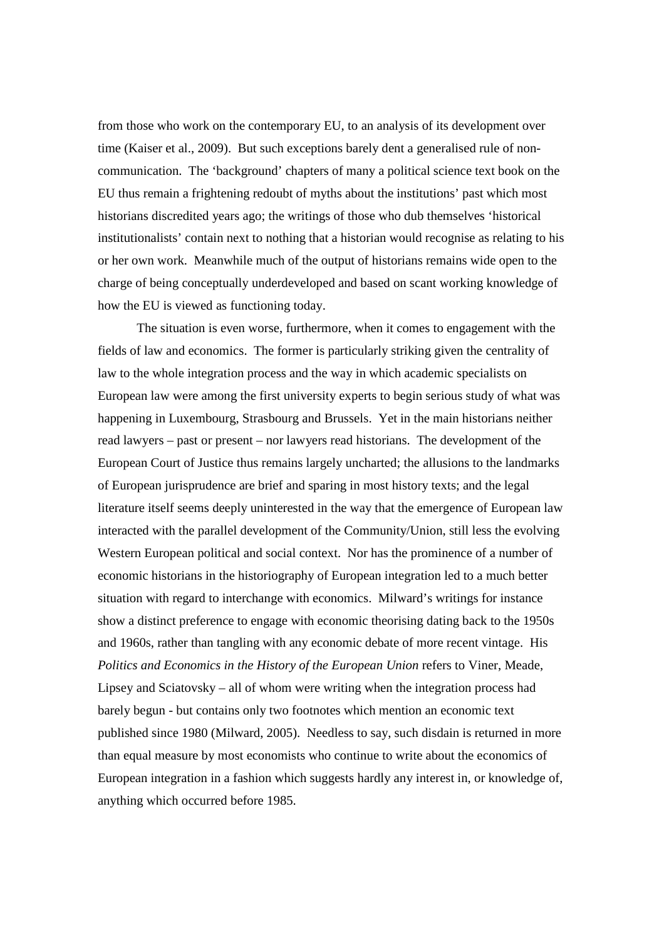from those who work on the contemporary EU, to an analysis of its development over time (Kaiser et al., 2009). But such exceptions barely dent a generalised rule of noncommunication. The 'background' chapters of many a political science text book on the EU thus remain a frightening redoubt of myths about the institutions' past which most historians discredited years ago; the writings of those who dub themselves 'historical institutionalists' contain next to nothing that a historian would recognise as relating to his or her own work. Meanwhile much of the output of historians remains wide open to the charge of being conceptually underdeveloped and based on scant working knowledge of how the EU is viewed as functioning today.

 The situation is even worse, furthermore, when it comes to engagement with the fields of law and economics. The former is particularly striking given the centrality of law to the whole integration process and the way in which academic specialists on European law were among the first university experts to begin serious study of what was happening in Luxembourg, Strasbourg and Brussels. Yet in the main historians neither read lawyers – past or present – nor lawyers read historians. The development of the European Court of Justice thus remains largely uncharted; the allusions to the landmarks of European jurisprudence are brief and sparing in most history texts; and the legal literature itself seems deeply uninterested in the way that the emergence of European law interacted with the parallel development of the Community/Union, still less the evolving Western European political and social context. Nor has the prominence of a number of economic historians in the historiography of European integration led to a much better situation with regard to interchange with economics. Milward's writings for instance show a distinct preference to engage with economic theorising dating back to the 1950s and 1960s, rather than tangling with any economic debate of more recent vintage. His *Politics and Economics in the History of the European Union* refers to Viner, Meade, Lipsey and Sciatovsky – all of whom were writing when the integration process had barely begun - but contains only two footnotes which mention an economic text published since 1980 (Milward, 2005). Needless to say, such disdain is returned in more than equal measure by most economists who continue to write about the economics of European integration in a fashion which suggests hardly any interest in, or knowledge of, anything which occurred before 1985.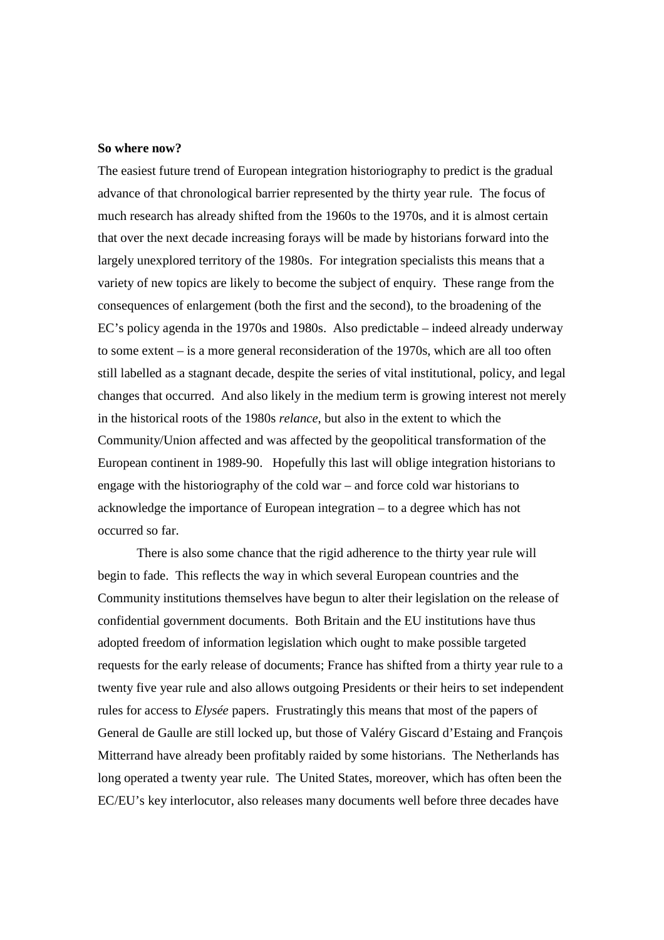## **So where now?**

The easiest future trend of European integration historiography to predict is the gradual advance of that chronological barrier represented by the thirty year rule. The focus of much research has already shifted from the 1960s to the 1970s, and it is almost certain that over the next decade increasing forays will be made by historians forward into the largely unexplored territory of the 1980s. For integration specialists this means that a variety of new topics are likely to become the subject of enquiry. These range from the consequences of enlargement (both the first and the second), to the broadening of the EC's policy agenda in the 1970s and 1980s. Also predictable – indeed already underway to some extent – is a more general reconsideration of the 1970s, which are all too often still labelled as a stagnant decade, despite the series of vital institutional, policy, and legal changes that occurred. And also likely in the medium term is growing interest not merely in the historical roots of the 1980s *relance*, but also in the extent to which the Community/Union affected and was affected by the geopolitical transformation of the European continent in 1989-90. Hopefully this last will oblige integration historians to engage with the historiography of the cold war – and force cold war historians to acknowledge the importance of European integration – to a degree which has not occurred so far.

 There is also some chance that the rigid adherence to the thirty year rule will begin to fade. This reflects the way in which several European countries and the Community institutions themselves have begun to alter their legislation on the release of confidential government documents. Both Britain and the EU institutions have thus adopted freedom of information legislation which ought to make possible targeted requests for the early release of documents; France has shifted from a thirty year rule to a twenty five year rule and also allows outgoing Presidents or their heirs to set independent rules for access to *Elysée* papers. Frustratingly this means that most of the papers of General de Gaulle are still locked up, but those of Valéry Giscard d'Estaing and François Mitterrand have already been profitably raided by some historians. The Netherlands has long operated a twenty year rule. The United States, moreover, which has often been the EC/EU's key interlocutor, also releases many documents well before three decades have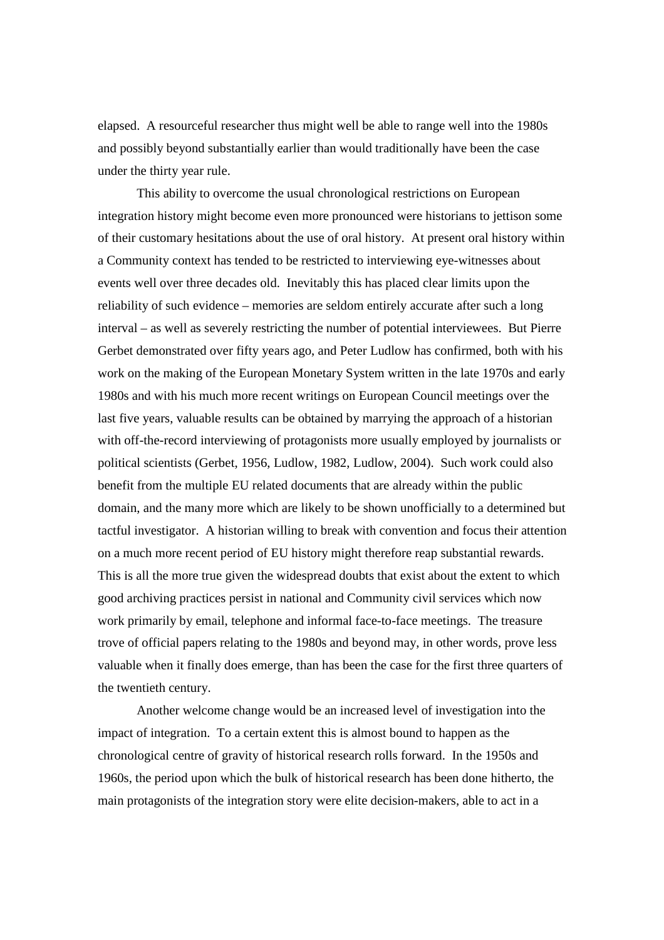elapsed. A resourceful researcher thus might well be able to range well into the 1980s and possibly beyond substantially earlier than would traditionally have been the case under the thirty year rule.

 This ability to overcome the usual chronological restrictions on European integration history might become even more pronounced were historians to jettison some of their customary hesitations about the use of oral history. At present oral history within a Community context has tended to be restricted to interviewing eye-witnesses about events well over three decades old. Inevitably this has placed clear limits upon the reliability of such evidence – memories are seldom entirely accurate after such a long interval – as well as severely restricting the number of potential interviewees. But Pierre Gerbet demonstrated over fifty years ago, and Peter Ludlow has confirmed, both with his work on the making of the European Monetary System written in the late 1970s and early 1980s and with his much more recent writings on European Council meetings over the last five years, valuable results can be obtained by marrying the approach of a historian with off-the-record interviewing of protagonists more usually employed by journalists or political scientists (Gerbet, 1956, Ludlow, 1982, Ludlow, 2004). Such work could also benefit from the multiple EU related documents that are already within the public domain, and the many more which are likely to be shown unofficially to a determined but tactful investigator. A historian willing to break with convention and focus their attention on a much more recent period of EU history might therefore reap substantial rewards. This is all the more true given the widespread doubts that exist about the extent to which good archiving practices persist in national and Community civil services which now work primarily by email, telephone and informal face-to-face meetings. The treasure trove of official papers relating to the 1980s and beyond may, in other words, prove less valuable when it finally does emerge, than has been the case for the first three quarters of the twentieth century.

 Another welcome change would be an increased level of investigation into the impact of integration. To a certain extent this is almost bound to happen as the chronological centre of gravity of historical research rolls forward. In the 1950s and 1960s, the period upon which the bulk of historical research has been done hitherto, the main protagonists of the integration story were elite decision-makers, able to act in a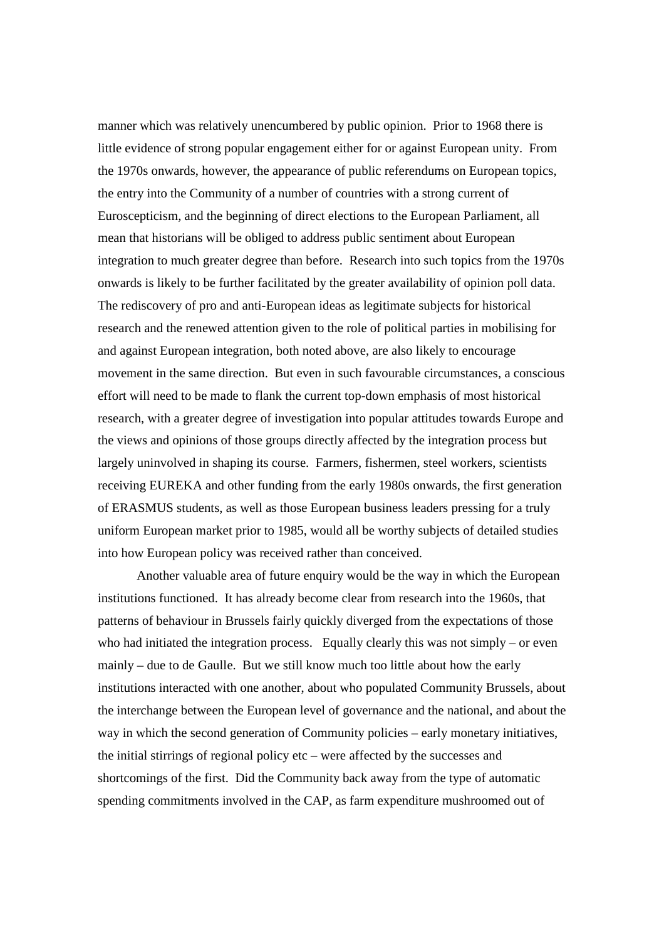manner which was relatively unencumbered by public opinion. Prior to 1968 there is little evidence of strong popular engagement either for or against European unity. From the 1970s onwards, however, the appearance of public referendums on European topics, the entry into the Community of a number of countries with a strong current of Euroscepticism, and the beginning of direct elections to the European Parliament, all mean that historians will be obliged to address public sentiment about European integration to much greater degree than before. Research into such topics from the 1970s onwards is likely to be further facilitated by the greater availability of opinion poll data. The rediscovery of pro and anti-European ideas as legitimate subjects for historical research and the renewed attention given to the role of political parties in mobilising for and against European integration, both noted above, are also likely to encourage movement in the same direction. But even in such favourable circumstances, a conscious effort will need to be made to flank the current top-down emphasis of most historical research, with a greater degree of investigation into popular attitudes towards Europe and the views and opinions of those groups directly affected by the integration process but largely uninvolved in shaping its course. Farmers, fishermen, steel workers, scientists receiving EUREKA and other funding from the early 1980s onwards, the first generation of ERASMUS students, as well as those European business leaders pressing for a truly uniform European market prior to 1985, would all be worthy subjects of detailed studies into how European policy was received rather than conceived.

 Another valuable area of future enquiry would be the way in which the European institutions functioned. It has already become clear from research into the 1960s, that patterns of behaviour in Brussels fairly quickly diverged from the expectations of those who had initiated the integration process. Equally clearly this was not simply – or even mainly – due to de Gaulle. But we still know much too little about how the early institutions interacted with one another, about who populated Community Brussels, about the interchange between the European level of governance and the national, and about the way in which the second generation of Community policies – early monetary initiatives, the initial stirrings of regional policy etc – were affected by the successes and shortcomings of the first. Did the Community back away from the type of automatic spending commitments involved in the CAP, as farm expenditure mushroomed out of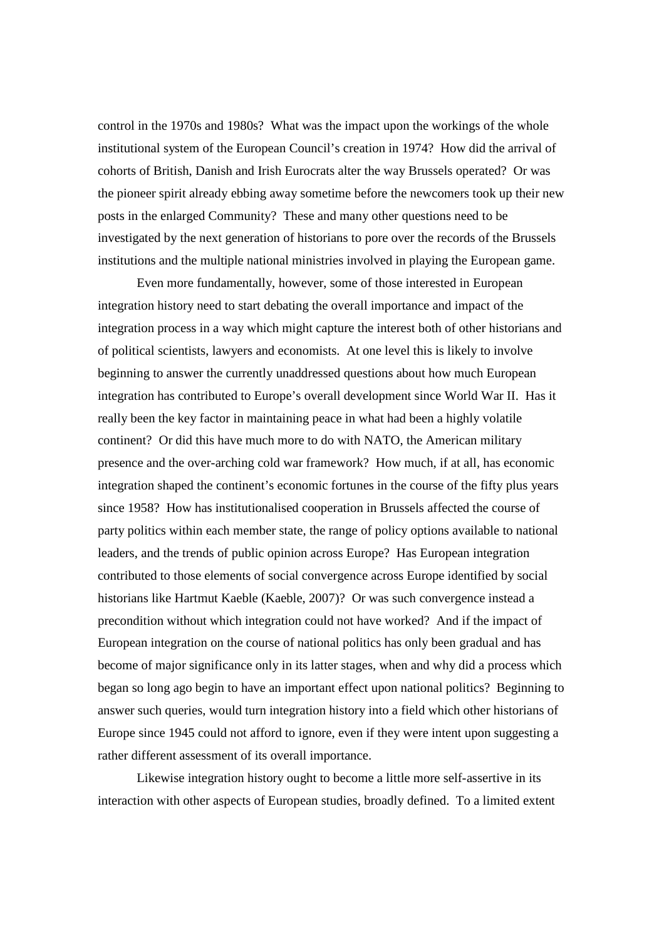control in the 1970s and 1980s? What was the impact upon the workings of the whole institutional system of the European Council's creation in 1974? How did the arrival of cohorts of British, Danish and Irish Eurocrats alter the way Brussels operated? Or was the pioneer spirit already ebbing away sometime before the newcomers took up their new posts in the enlarged Community? These and many other questions need to be investigated by the next generation of historians to pore over the records of the Brussels institutions and the multiple national ministries involved in playing the European game.

 Even more fundamentally, however, some of those interested in European integration history need to start debating the overall importance and impact of the integration process in a way which might capture the interest both of other historians and of political scientists, lawyers and economists. At one level this is likely to involve beginning to answer the currently unaddressed questions about how much European integration has contributed to Europe's overall development since World War II. Has it really been the key factor in maintaining peace in what had been a highly volatile continent? Or did this have much more to do with NATO, the American military presence and the over-arching cold war framework? How much, if at all, has economic integration shaped the continent's economic fortunes in the course of the fifty plus years since 1958? How has institutionalised cooperation in Brussels affected the course of party politics within each member state, the range of policy options available to national leaders, and the trends of public opinion across Europe? Has European integration contributed to those elements of social convergence across Europe identified by social historians like Hartmut Kaeble (Kaeble, 2007)? Or was such convergence instead a precondition without which integration could not have worked? And if the impact of European integration on the course of national politics has only been gradual and has become of major significance only in its latter stages, when and why did a process which began so long ago begin to have an important effect upon national politics? Beginning to answer such queries, would turn integration history into a field which other historians of Europe since 1945 could not afford to ignore, even if they were intent upon suggesting a rather different assessment of its overall importance.

 Likewise integration history ought to become a little more self-assertive in its interaction with other aspects of European studies, broadly defined. To a limited extent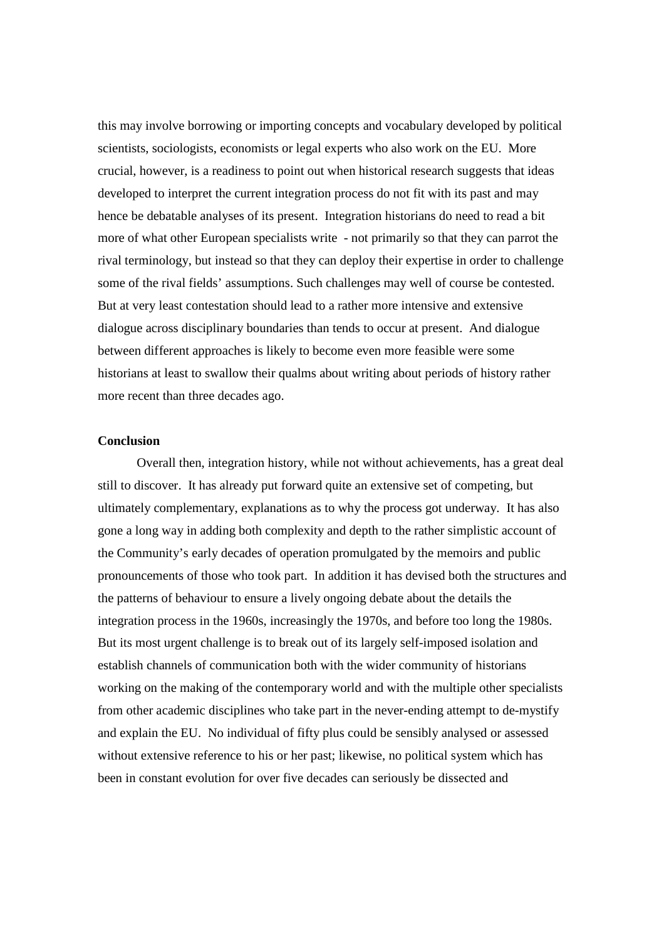this may involve borrowing or importing concepts and vocabulary developed by political scientists, sociologists, economists or legal experts who also work on the EU. More crucial, however, is a readiness to point out when historical research suggests that ideas developed to interpret the current integration process do not fit with its past and may hence be debatable analyses of its present. Integration historians do need to read a bit more of what other European specialists write - not primarily so that they can parrot the rival terminology, but instead so that they can deploy their expertise in order to challenge some of the rival fields' assumptions. Such challenges may well of course be contested. But at very least contestation should lead to a rather more intensive and extensive dialogue across disciplinary boundaries than tends to occur at present. And dialogue between different approaches is likely to become even more feasible were some historians at least to swallow their qualms about writing about periods of history rather more recent than three decades ago.

## **Conclusion**

 Overall then, integration history, while not without achievements, has a great deal still to discover. It has already put forward quite an extensive set of competing, but ultimately complementary, explanations as to why the process got underway. It has also gone a long way in adding both complexity and depth to the rather simplistic account of the Community's early decades of operation promulgated by the memoirs and public pronouncements of those who took part. In addition it has devised both the structures and the patterns of behaviour to ensure a lively ongoing debate about the details the integration process in the 1960s, increasingly the 1970s, and before too long the 1980s. But its most urgent challenge is to break out of its largely self-imposed isolation and establish channels of communication both with the wider community of historians working on the making of the contemporary world and with the multiple other specialists from other academic disciplines who take part in the never-ending attempt to de-mystify and explain the EU. No individual of fifty plus could be sensibly analysed or assessed without extensive reference to his or her past; likewise, no political system which has been in constant evolution for over five decades can seriously be dissected and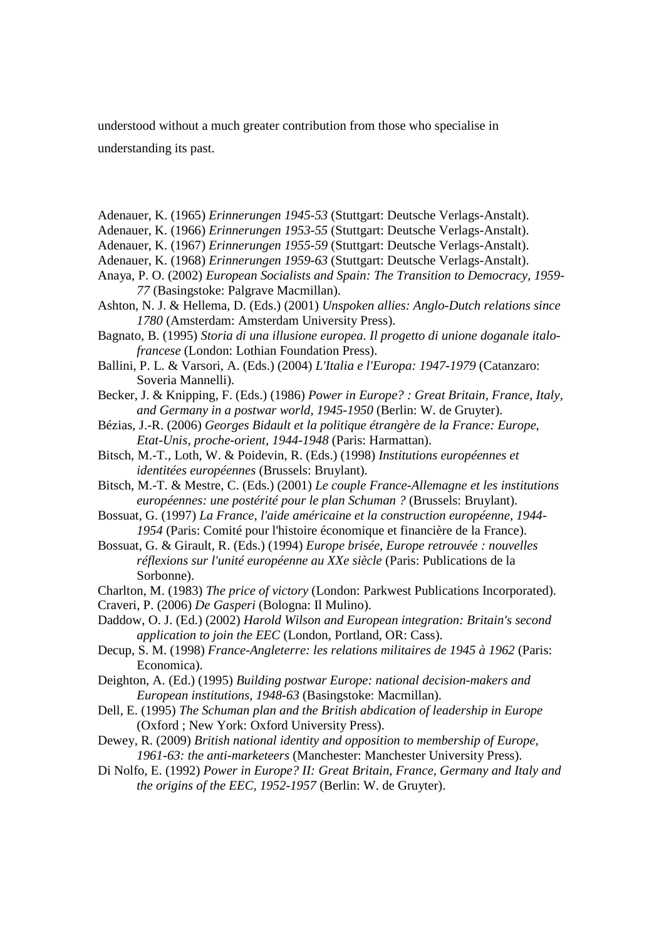understood without a much greater contribution from those who specialise in

understanding its past.

- Adenauer, K. (1965) *Erinnerungen 1945-53* (Stuttgart: Deutsche Verlags-Anstalt).
- Adenauer, K. (1966) *Erinnerungen 1953-55* (Stuttgart: Deutsche Verlags-Anstalt).
- Adenauer, K. (1967) *Erinnerungen 1955-59* (Stuttgart: Deutsche Verlags-Anstalt).
- Adenauer, K. (1968) *Erinnerungen 1959-63* (Stuttgart: Deutsche Verlags-Anstalt).
- Anaya, P. O. (2002) *European Socialists and Spain: The Transition to Democracy, 1959- 77* (Basingstoke: Palgrave Macmillan).
- Ashton, N. J. & Hellema, D. (Eds.) (2001) *Unspoken allies: Anglo-Dutch relations since 1780* (Amsterdam: Amsterdam University Press).
- Bagnato, B. (1995) *Storia di una illusione europea. Il progetto di unione doganale italofrancese* (London: Lothian Foundation Press).
- Ballini, P. L. & Varsori, A. (Eds.) (2004) *L'Italia e l'Europa: 1947-1979* (Catanzaro: Soveria Mannelli).
- Becker, J. & Knipping, F. (Eds.) (1986) *Power in Europe? : Great Britain, France, Italy, and Germany in a postwar world, 1945-1950* (Berlin: W. de Gruyter).
- Bézias, J.-R. (2006) *Georges Bidault et la politique étrangère de la France: Europe, Etat-Unis, proche-orient, 1944-1948* (Paris: Harmattan).
- Bitsch, M.-T., Loth, W. & Poidevin, R. (Eds.) (1998) *Institutions européennes et identitées européennes* (Brussels: Bruylant).
- Bitsch, M.-T. & Mestre, C. (Eds.) (2001) *Le couple France-Allemagne et les institutions*  européennes: une postérité pour le plan Schuman ? (Brussels: Bruylant).
- Bossuat, G. (1997) *La France, l'aide américaine et la construction européenne, 1944- 1954* (Paris: Comité pour l'histoire économique et financière de la France).
- Bossuat, G. & Girault, R. (Eds.) (1994) *Europe brisée, Europe retrouvée : nouvelles réflexions sur l'unité européenne au XXe siècle* (Paris: Publications de la Sorbonne).
- Charlton, M. (1983) *The price of victory* (London: Parkwest Publications Incorporated).
- Craveri, P. (2006) *De Gasperi* (Bologna: Il Mulino).
- Daddow, O. J. (Ed.) (2002) *Harold Wilson and European integration: Britain's second application to join the EEC* (London, Portland, OR: Cass).
- Decup, S. M. (1998) *France-Angleterre: les relations militaires de 1945 à 1962* (Paris: Economica).
- Deighton, A. (Ed.) (1995) *Building postwar Europe: national decision-makers and European institutions, 1948-63* (Basingstoke: Macmillan).
- Dell, E. (1995) *The Schuman plan and the British abdication of leadership in Europe*  (Oxford ; New York: Oxford University Press).
- Dewey, R. (2009) *British national identity and opposition to membership of Europe, 1961-63: the anti-marketeers* (Manchester: Manchester University Press).
- Di Nolfo, E. (1992) *Power in Europe? II: Great Britain, France, Germany and Italy and the origins of the EEC, 1952-1957* (Berlin: W. de Gruyter).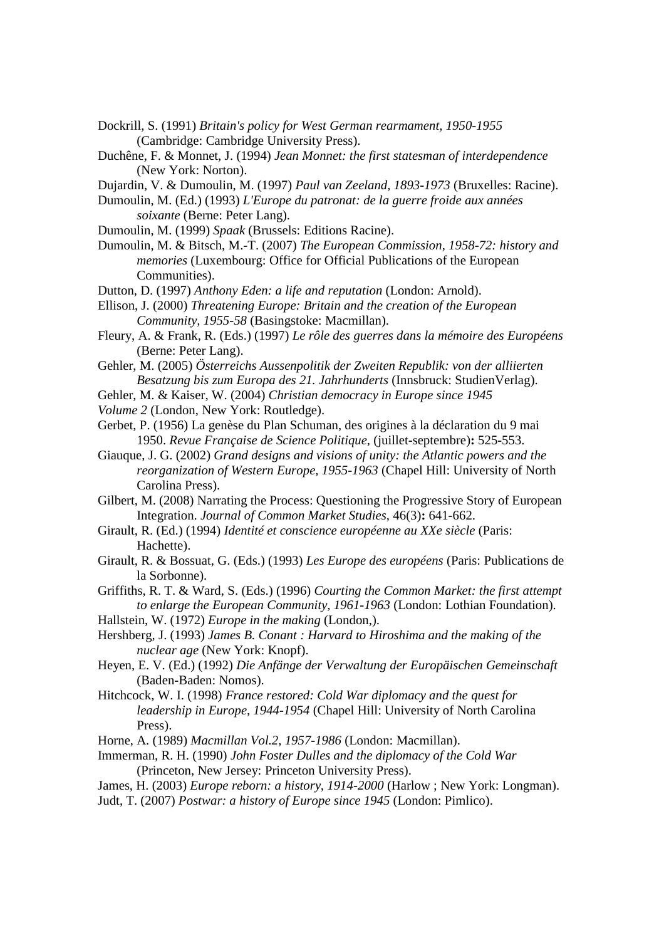Dockrill, S. (1991) *Britain's policy for West German rearmament, 1950-1955*  (Cambridge: Cambridge University Press).

- Duchêne, F. & Monnet, J. (1994) *Jean Monnet: the first statesman of interdependence* (New York: Norton).
- Dujardin, V. & Dumoulin, M. (1997) *Paul van Zeeland, 1893-1973* (Bruxelles: Racine).
- Dumoulin, M. (Ed.) (1993) *L'Europe du patronat: de la guerre froide aux années soixante* (Berne: Peter Lang).
- Dumoulin, M. (1999) *Spaak* (Brussels: Editions Racine).
- Dumoulin, M. & Bitsch, M.-T. (2007) *The European Commission, 1958-72: history and memories* (Luxembourg: Office for Official Publications of the European Communities).
- Dutton, D. (1997) *Anthony Eden: a life and reputation* (London: Arnold).
- Ellison, J. (2000) *Threatening Europe: Britain and the creation of the European Community, 1955-58* (Basingstoke: Macmillan).
- Fleury, A. & Frank, R. (Eds.) (1997) *Le rôle des guerres dans la mémoire des Européens*  (Berne: Peter Lang).
- Gehler, M. (2005) *Österreichs Aussenpolitik der Zweiten Republik: von der alliierten Besatzung bis zum Europa des 21. Jahrhunderts* (Innsbruck: StudienVerlag).
- Gehler, M. & Kaiser, W. (2004) *Christian democracy in Europe since 1945*
- *Volume 2* (London, New York: Routledge).
- Gerbet, P. (1956) La genèse du Plan Schuman, des origines à la déclaration du 9 mai 1950. *Revue Française de Science Politique,* (juillet-septembre)**:** 525-553.
- Giauque, J. G. (2002) *Grand designs and visions of unity: the Atlantic powers and the reorganization of Western Europe, 1955-1963* (Chapel Hill: University of North Carolina Press).
- Gilbert, M. (2008) Narrating the Process: Questioning the Progressive Story of European Integration. *Journal of Common Market Studies,* 46(3)**:** 641-662.
- Girault, R. (Ed.) (1994) *Identité et conscience européenne au XXe siècle* (Paris: Hachette).
- Girault, R. & Bossuat, G. (Eds.) (1993) *Les Europe des européens* (Paris: Publications de la Sorbonne).
- Griffiths, R. T. & Ward, S. (Eds.) (1996) *Courting the Common Market: the first attempt to enlarge the European Community, 1961-1963* (London: Lothian Foundation).
- Hallstein, W. (1972) *Europe in the making* (London,).
- Hershberg, J. (1993) *James B. Conant : Harvard to Hiroshima and the making of the nuclear age* (New York: Knopf).
- Heyen, E. V. (Ed.) (1992) *Die Anfänge der Verwaltung der Europäischen Gemeinschaft*  (Baden-Baden: Nomos).
- Hitchcock, W. I. (1998) *France restored: Cold War diplomacy and the quest for leadership in Europe, 1944-1954* (Chapel Hill: University of North Carolina Press).
- Horne, A. (1989) *Macmillan Vol.2, 1957-1986* (London: Macmillan).
- Immerman, R. H. (1990) *John Foster Dulles and the diplomacy of the Cold War*  (Princeton, New Jersey: Princeton University Press).
- James, H. (2003) *Europe reborn: a history, 1914-2000* (Harlow ; New York: Longman).
- Judt, T. (2007) *Postwar: a history of Europe since 1945* (London: Pimlico).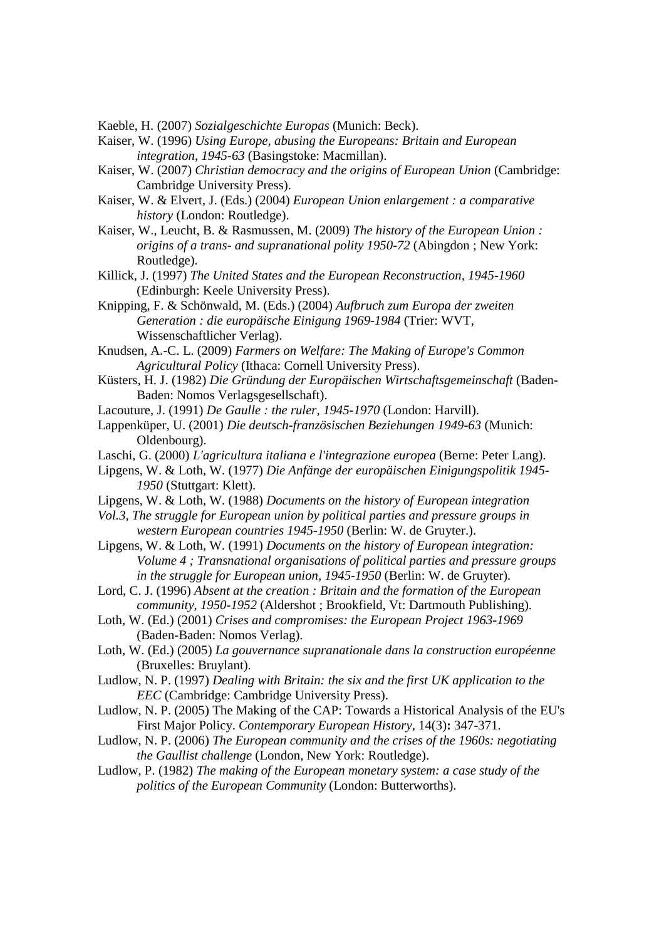Kaeble, H. (2007) *Sozialgeschichte Europas* (Munich: Beck).

Kaiser, W. (1996) *Using Europe, abusing the Europeans: Britain and European integration, 1945-63* (Basingstoke: Macmillan).

- Kaiser, W. (2007) *Christian democracy and the origins of European Union* (Cambridge: Cambridge University Press).
- Kaiser, W. & Elvert, J. (Eds.) (2004) *European Union enlargement : a comparative history* (London: Routledge).
- Kaiser, W., Leucht, B. & Rasmussen, M. (2009) *The history of the European Union : origins of a trans- and supranational polity 1950-72* (Abingdon ; New York: Routledge).
- Killick, J. (1997) *The United States and the European Reconstruction, 1945-1960*  (Edinburgh: Keele University Press).
- Knipping, F. & Schönwald, M. (Eds.) (2004) *Aufbruch zum Europa der zweiten Generation : die europäische Einigung 1969-1984* (Trier: WVT, Wissenschaftlicher Verlag).
- Knudsen, A.-C. L. (2009) *Farmers on Welfare: The Making of Europe's Common Agricultural Policy* (Ithaca: Cornell University Press).
- Küsters, H. J. (1982) *Die Gründung der Europäischen Wirtschaftsgemeinschaft* (Baden-Baden: Nomos Verlagsgesellschaft).
- Lacouture, J. (1991) *De Gaulle : the ruler, 1945-1970* (London: Harvill).
- Lappenküper, U. (2001) *Die deutsch-französischen Beziehungen 1949-63* (Munich: Oldenbourg).
- Laschi, G. (2000) *L'agricultura italiana e l'integrazione europea* (Berne: Peter Lang).
- Lipgens, W. & Loth, W. (1977) *Die Anfänge der europäischen Einigungspolitik 1945- 1950* (Stuttgart: Klett).
- Lipgens, W. & Loth, W. (1988) *Documents on the history of European integration*
- *Vol.3, The struggle for European union by political parties and pressure groups in western European countries 1945-1950* (Berlin: W. de Gruyter.).
- Lipgens, W. & Loth, W. (1991) *Documents on the history of European integration: Volume 4 ; Transnational organisations of political parties and pressure groups in the struggle for European union, 1945-1950* (Berlin: W. de Gruyter).
- Lord, C. J. (1996) *Absent at the creation : Britain and the formation of the European community, 1950-1952* (Aldershot ; Brookfield, Vt: Dartmouth Publishing).
- Loth, W. (Ed.) (2001) *Crises and compromises: the European Project 1963-1969*  (Baden-Baden: Nomos Verlag).
- Loth, W. (Ed.) (2005) *La gouvernance supranationale dans la construction européenne*  (Bruxelles: Bruylant).
- Ludlow, N. P. (1997) *Dealing with Britain: the six and the first UK application to the EEC* (Cambridge: Cambridge University Press).
- Ludlow, N. P. (2005) The Making of the CAP: Towards a Historical Analysis of the EU's First Major Policy. *Contemporary European History,* 14(3)**:** 347-371.
- Ludlow, N. P. (2006) *The European community and the crises of the 1960s: negotiating the Gaullist challenge* (London, New York: Routledge).
- Ludlow, P. (1982) *The making of the European monetary system: a case study of the politics of the European Community* (London: Butterworths).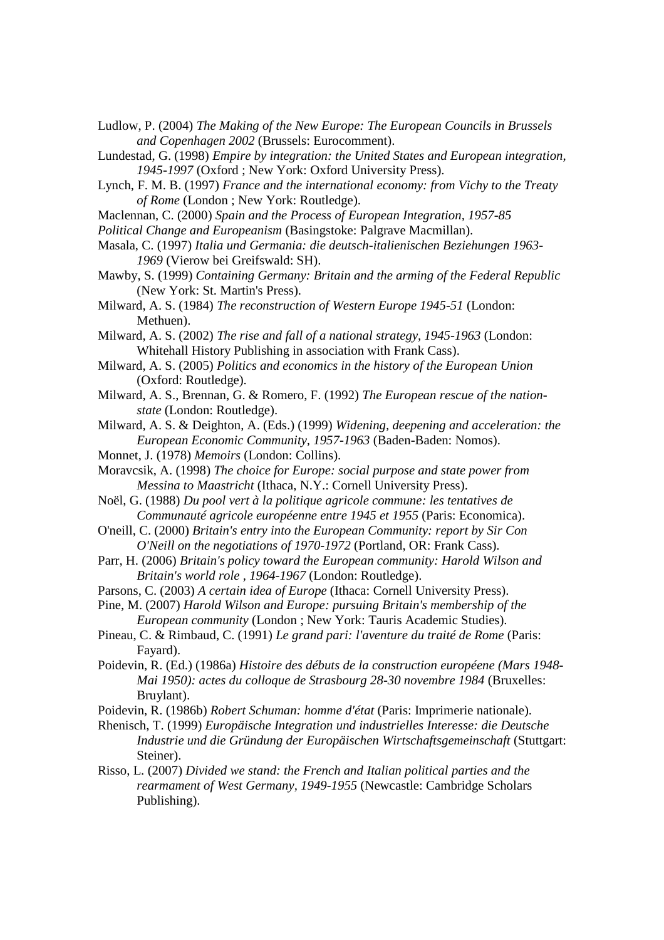Ludlow, P. (2004) *The Making of the New Europe: The European Councils in Brussels and Copenhagen 2002* (Brussels: Eurocomment).

Lundestad, G. (1998) *Empire by integration: the United States and European integration, 1945-1997* (Oxford ; New York: Oxford University Press).

- Lynch, F. M. B. (1997) *France and the international economy: from Vichy to the Treaty of Rome* (London ; New York: Routledge).
- Maclennan, C. (2000) *Spain and the Process of European Integration, 1957-85*
- *Political Change and Europeanism* (Basingstoke: Palgrave Macmillan).
- Masala, C. (1997) *Italia und Germania: die deutsch-italienischen Beziehungen 1963- 1969* (Vierow bei Greifswald: SH).
- Mawby, S. (1999) *Containing Germany: Britain and the arming of the Federal Republic*  (New York: St. Martin's Press).
- Milward, A. S. (1984) *The reconstruction of Western Europe 1945-51* (London: Methuen).
- Milward, A. S. (2002) *The rise and fall of a national strategy, 1945-1963* (London: Whitehall History Publishing in association with Frank Cass).
- Milward, A. S. (2005) *Politics and economics in the history of the European Union*  (Oxford: Routledge).
- Milward, A. S., Brennan, G. & Romero, F. (1992) *The European rescue of the nationstate* (London: Routledge).

Milward, A. S. & Deighton, A. (Eds.) (1999) *Widening, deepening and acceleration: the European Economic Community, 1957-1963* (Baden-Baden: Nomos).

- Monnet, J. (1978) *Memoirs* (London: Collins).
- Moravcsik, A. (1998) *The choice for Europe: social purpose and state power from Messina to Maastricht* (Ithaca, N.Y.: Cornell University Press).
- Noël, G. (1988) *Du pool vert à la politique agricole commune: les tentatives de Communauté agricole européenne entre 1945 et 1955* (Paris: Economica).
- O'neill, C. (2000) *Britain's entry into the European Community: report by Sir Con O'Neill on the negotiations of 1970-1972* (Portland, OR: Frank Cass).
- Parr, H. (2006) *Britain's policy toward the European community: Harold Wilson and Britain's world role , 1964-1967* (London: Routledge).
- Parsons, C. (2003) *A certain idea of Europe* (Ithaca: Cornell University Press).
- Pine, M. (2007) *Harold Wilson and Europe: pursuing Britain's membership of the European community* (London ; New York: Tauris Academic Studies).
- Pineau, C. & Rimbaud, C. (1991) *Le grand pari: l'aventure du traité de Rome* (Paris: Fayard).
- Poidevin, R. (Ed.) (1986a) *Histoire des débuts de la construction européene (Mars 1948- Mai 1950): actes du colloque de Strasbourg 28-30 novembre 1984* (Bruxelles: Bruylant).
- Poidevin, R. (1986b) *Robert Schuman: homme d'état* (Paris: Imprimerie nationale).
- Rhenisch, T. (1999) *Europäische Integration und industrielles Interesse: die Deutsche Industrie und die Gründung der Europäischen Wirtschaftsgemeinschaft* (Stuttgart: Steiner).
- Risso, L. (2007) *Divided we stand: the French and Italian political parties and the rearmament of West Germany, 1949-1955* (Newcastle: Cambridge Scholars Publishing).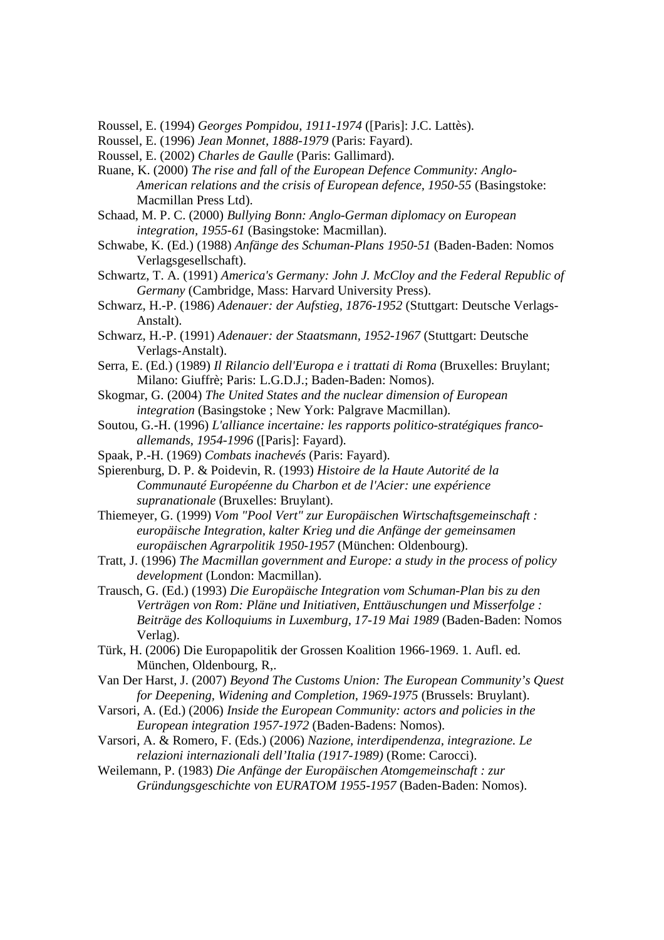Roussel, E. (1994) *Georges Pompidou, 1911-1974* ([Paris]: J.C. Lattès).

- Roussel, E. (1996) *Jean Monnet, 1888-1979* (Paris: Fayard).
- Roussel, E. (2002) *Charles de Gaulle* (Paris: Gallimard).
- Ruane, K. (2000) *The rise and fall of the European Defence Community: Anglo-American relations and the crisis of European defence, 1950-55* (Basingstoke: Macmillan Press Ltd).
- Schaad, M. P. C. (2000) *Bullying Bonn: Anglo-German diplomacy on European integration, 1955-61* (Basingstoke: Macmillan).
- Schwabe, K. (Ed.) (1988) *Anfänge des Schuman-Plans 1950-51* (Baden-Baden: Nomos Verlagsgesellschaft).
- Schwartz, T. A. (1991) *America's Germany: John J. McCloy and the Federal Republic of Germany* (Cambridge, Mass: Harvard University Press).
- Schwarz, H.-P. (1986) *Adenauer: der Aufstieg, 1876-1952* (Stuttgart: Deutsche Verlags-Anstalt).
- Schwarz, H.-P. (1991) *Adenauer: der Staatsmann, 1952-1967* (Stuttgart: Deutsche Verlags-Anstalt).
- Serra, E. (Ed.) (1989) *Il Rilancio dell'Europa e i trattati di Roma* (Bruxelles: Bruylant; Milano: Giuffrè; Paris: L.G.D.J.; Baden-Baden: Nomos).
- Skogmar, G. (2004) *The United States and the nuclear dimension of European integration* (Basingstoke ; New York: Palgrave Macmillan).
- Soutou, G.-H. (1996) *L'alliance incertaine: les rapports politico-stratégiques francoallemands, 1954-1996* ([Paris]: Fayard).
- Spaak, P.-H. (1969) *Combats inachevés* (Paris: Fayard).
- Spierenburg, D. P. & Poidevin, R. (1993) *Histoire de la Haute Autorité de la Communauté Européenne du Charbon et de l'Acier: une expérience supranationale* (Bruxelles: Bruylant).
- Thiemeyer, G. (1999) *Vom "Pool Vert" zur Europäischen Wirtschaftsgemeinschaft : europäische Integration, kalter Krieg und die Anfänge der gemeinsamen europäischen Agrarpolitik 1950-1957* (München: Oldenbourg).
- Tratt, J. (1996) *The Macmillan government and Europe: a study in the process of policy development* (London: Macmillan).
- Trausch, G. (Ed.) (1993) *Die Europäische Integration vom Schuman-Plan bis zu den Verträgen von Rom: Pläne und Initiativen, Enttäuschungen und Misserfolge : Beiträge des Kolloquiums in Luxemburg, 17-19 Mai 1989* (Baden-Baden: Nomos Verlag).
- Türk, H. (2006) Die Europapolitik der Grossen Koalition 1966-1969. 1. Aufl. ed. München, Oldenbourg, R,.
- Van Der Harst, J. (2007) *Beyond The Customs Union: The European Community's Quest for Deepening, Widening and Completion, 1969-1975* (Brussels: Bruylant).
- Varsori, A. (Ed.) (2006) *Inside the European Community: actors and policies in the European integration 1957-1972* (Baden-Badens: Nomos).
- Varsori, A. & Romero, F. (Eds.) (2006) *Nazione, interdipendenza, integrazione. Le relazioni internazionali dell'Italia (1917-1989)* (Rome: Carocci).
- Weilemann, P. (1983) *Die Anfänge der Europäischen Atomgemeinschaft : zur Gründungsgeschichte von EURATOM 1955-1957* (Baden-Baden: Nomos).